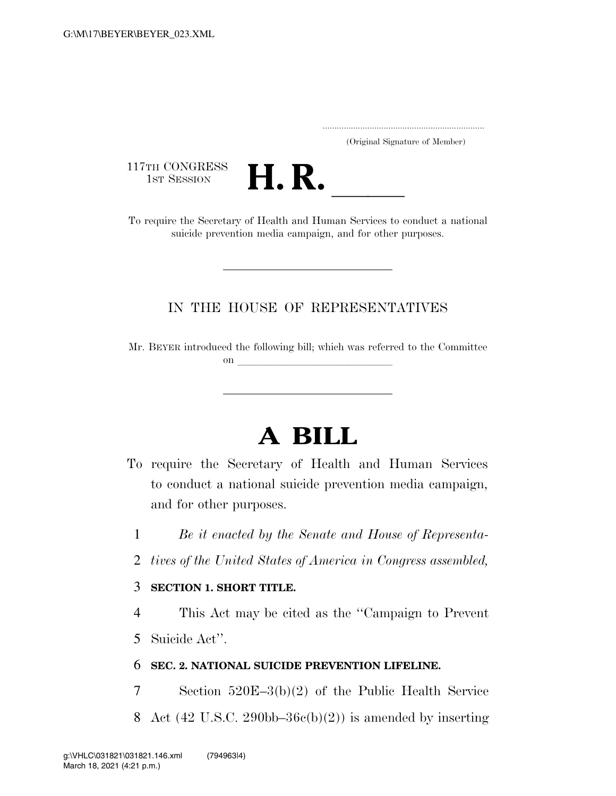.....................................................................

(Original Signature of Member)

117TH CONGRESS<br>1st Session



117TH CONGRESS<br>1st SESSION **H. R.** <u>International Burnal</u> Conduct a national To require the Secretary of Health and Human Services to conduct a national suicide prevention media campaign, and for other purposes.

### IN THE HOUSE OF REPRESENTATIVES

Mr. BEYER introduced the following bill; which was referred to the Committee on  $\overline{\qquad \qquad }$ 

# **A BILL**

- To require the Secretary of Health and Human Services to conduct a national suicide prevention media campaign, and for other purposes.
	- 1 *Be it enacted by the Senate and House of Representa-*
	- 2 *tives of the United States of America in Congress assembled,*

#### 3 **SECTION 1. SHORT TITLE.**

4 This Act may be cited as the ''Campaign to Prevent

5 Suicide Act''.

#### 6 **SEC. 2. NATIONAL SUICIDE PREVENTION LIFELINE.**

- 7 Section 520E–3(b)(2) of the Public Health Service
- 8 Act (42 U.S.C. 290bb–36 $c(b)(2)$ ) is amended by inserting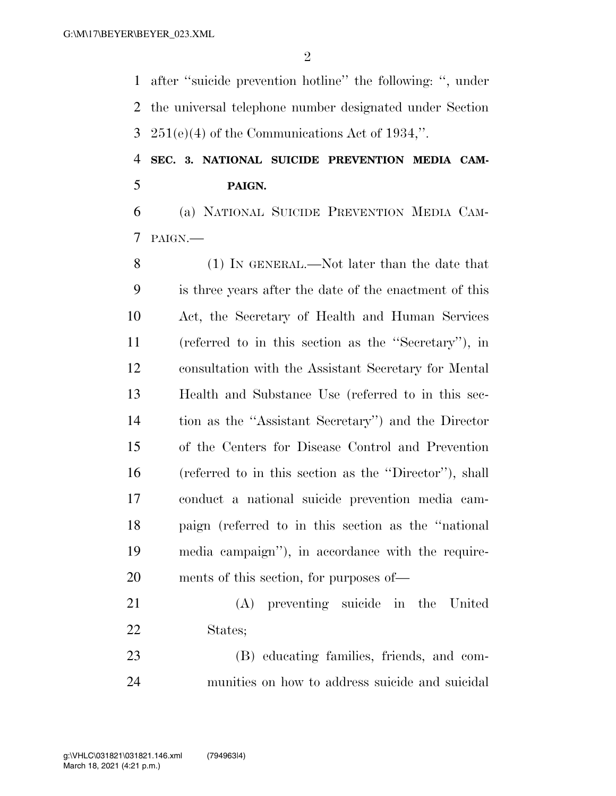after ''suicide prevention hotline'' the following: '', under the universal telephone number designated under Section 251(e)(4) of the Communications Act of 1934,''.

## **SEC. 3. NATIONAL SUICIDE PREVENTION MEDIA CAM-PAIGN.**

 (a) NATIONAL SUICIDE PREVENTION MEDIA CAM-PAIGN.—

 (1) IN GENERAL.—Not later than the date that is three years after the date of the enactment of this Act, the Secretary of Health and Human Services (referred to in this section as the ''Secretary''), in consultation with the Assistant Secretary for Mental Health and Substance Use (referred to in this sec- tion as the ''Assistant Secretary'') and the Director of the Centers for Disease Control and Prevention (referred to in this section as the ''Director''), shall conduct a national suicide prevention media cam- paign (referred to in this section as the ''national media campaign''), in accordance with the require-ments of this section, for purposes of—

 (A) preventing suicide in the United States;

 (B) educating families, friends, and com-munities on how to address suicide and suicidal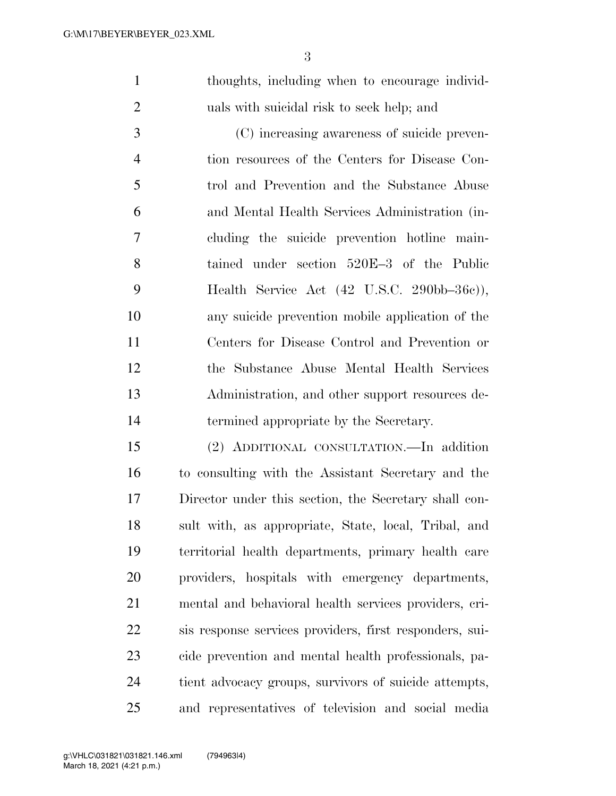thoughts, including when to encourage individ-uals with suicidal risk to seek help; and

 (C) increasing awareness of suicide preven- tion resources of the Centers for Disease Con- trol and Prevention and the Substance Abuse and Mental Health Services Administration (in- cluding the suicide prevention hotline main- tained under section 520E–3 of the Public Health Service Act (42 U.S.C. 290bb–36c)), any suicide prevention mobile application of the Centers for Disease Control and Prevention or the Substance Abuse Mental Health Services Administration, and other support resources de-termined appropriate by the Secretary.

 (2) ADDITIONAL CONSULTATION.—In addition to consulting with the Assistant Secretary and the Director under this section, the Secretary shall con- sult with, as appropriate, State, local, Tribal, and territorial health departments, primary health care providers, hospitals with emergency departments, mental and behavioral health services providers, cri- sis response services providers, first responders, sui- cide prevention and mental health professionals, pa- tient advocacy groups, survivors of suicide attempts, and representatives of television and social media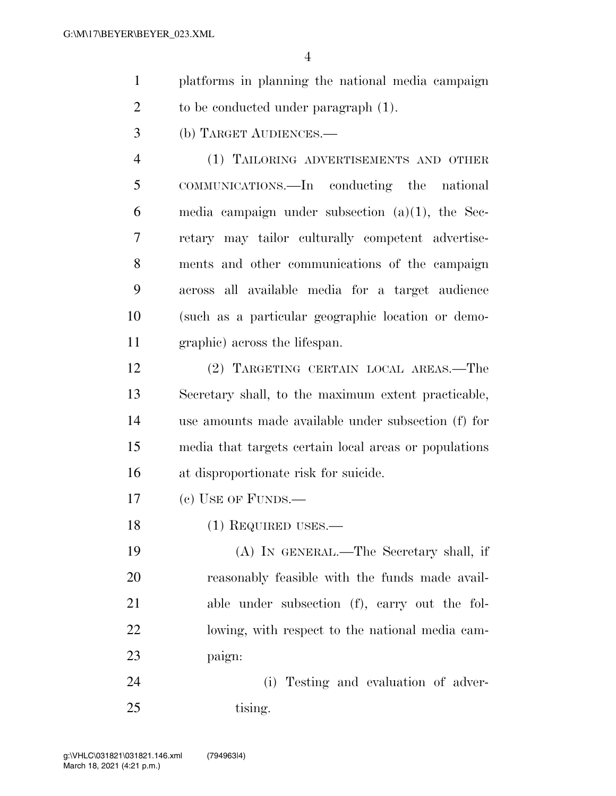- platforms in planning the national media campaign 2 to be conducted under paragraph  $(1)$ .
- (b) TARGET AUDIENCES.—

 (1) TAILORING ADVERTISEMENTS AND OTHER COMMUNICATIONS.—In conducting the national 6 media campaign under subsection  $(a)(1)$ , the Sec- retary may tailor culturally competent advertise- ments and other communications of the campaign across all available media for a target audience (such as a particular geographic location or demo-graphic) across the lifespan.

 (2) TARGETING CERTAIN LOCAL AREAS.—The Secretary shall, to the maximum extent practicable, use amounts made available under subsection (f) for media that targets certain local areas or populations at disproportionate risk for suicide.

- (c) USE OF FUNDS.—
- 18 (1) REQUIRED USES.—

 (A) IN GENERAL.—The Secretary shall, if reasonably feasible with the funds made avail- able under subsection (f), carry out the fol- lowing, with respect to the national media cam-paign:

 (i) Testing and evaluation of adver-25 tising.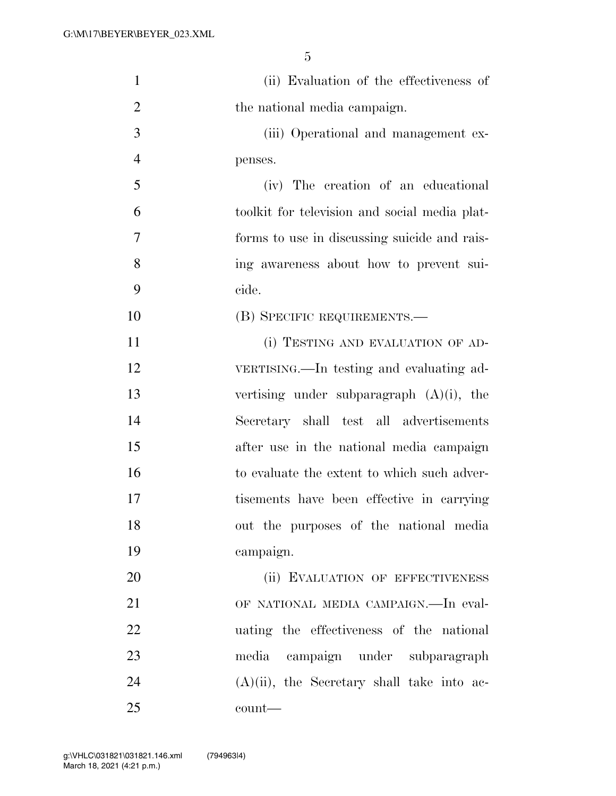| $\mathbf{1}$   | (ii) Evaluation of the effectiveness of       |
|----------------|-----------------------------------------------|
| $\overline{2}$ | the national media campaign.                  |
| 3              | (iii) Operational and management ex-          |
| $\overline{4}$ | penses.                                       |
| 5              | (iv) The creation of an educational           |
| 6              | toolkit for television and social media plat- |
| 7              | forms to use in discussing suicide and rais-  |
| 8              | ing awareness about how to prevent sui-       |
| 9              | cide.                                         |
| 10             | (B) SPECIFIC REQUIREMENTS.—                   |
| 11             | (i) TESTING AND EVALUATION OF AD-             |
| 12             | VERTISING.—In testing and evaluating ad-      |
| 13             | vertising under subparagraph $(A)(i)$ , the   |
| 14             | Secretary shall test all advertisements       |
| 15             | after use in the national media campaign      |
| 16             | to evaluate the extent to which such adver-   |
| 17             | tisements have been effective in carrying     |
| 18             | out the purposes of the national media        |
| 19             | campaign.                                     |
| 20             | (ii) EVALUATION OF EFFECTIVENESS              |
| 21             | OF NATIONAL MEDIA CAMPAIGN.—In eval-          |
| 22             | uating the effectiveness of the national      |
| 23             | media campaign under subparagraph             |
| 24             | $(A)(ii)$ , the Secretary shall take into ac- |
| 25             | count—                                        |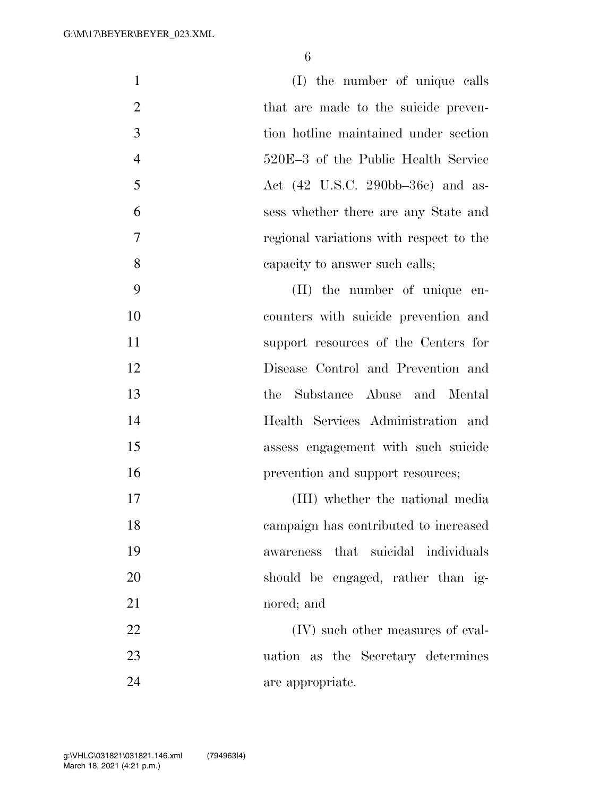| $\mathbf{1}$   | (I) the number of unique calls                                 |
|----------------|----------------------------------------------------------------|
| $\overline{2}$ | that are made to the suicide preven-                           |
| 3              | tion hotline maintained under section                          |
| $\overline{4}$ | 520E-3 of the Public Health Service                            |
| 5              | Act $(42 \text{ U.S.C. } 290 \text{bb} - 36 \text{c})$ and as- |
| 6              | sess whether there are any State and                           |
| 7              | regional variations with respect to the                        |
| 8              | capacity to answer such calls;                                 |
| 9              | (II) the number of unique en-                                  |
| 10             | counters with suicide prevention and                           |
| 11             | support resources of the Centers for                           |
| 12             | Disease Control and Prevention and                             |
| 13             | the Substance Abuse and Mental                                 |
| 14             | Health Services Administration and                             |
| 15             | assess engagement with such suicide                            |
| 16             | prevention and support resources;                              |
| 17             | (III) whether the national media                               |
| 18             | campaign has contributed to increased                          |
| 19             | awareness that suicidal individuals                            |
| 20             | should be engaged, rather than ig-                             |
| 21             | nored; and                                                     |
| 22             | (IV) such other measures of eval-                              |
| 23             | uation as the Secretary determines                             |
| 24             | are appropriate.                                               |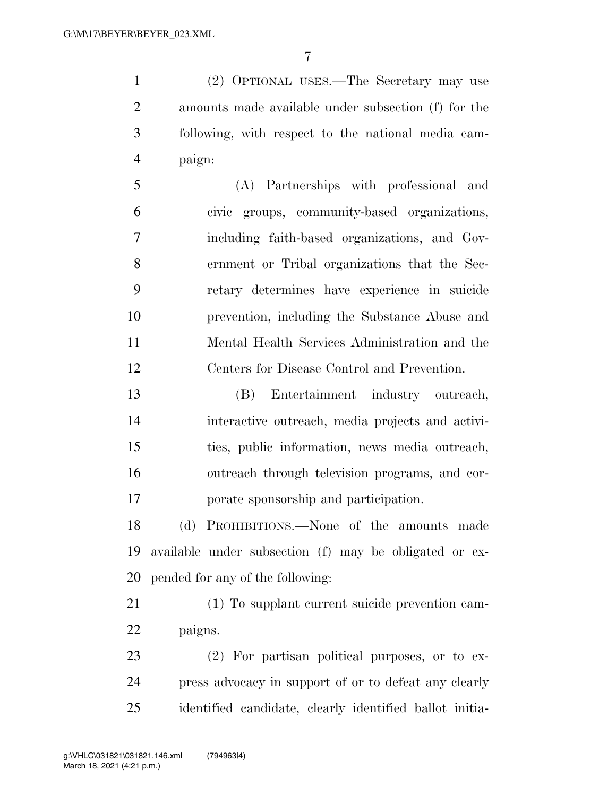(2) OPTIONAL USES.—The Secretary may use amounts made available under subsection (f) for the following, with respect to the national media cam-paign:

 (A) Partnerships with professional and civic groups, community-based organizations, including faith-based organizations, and Gov- ernment or Tribal organizations that the Sec- retary determines have experience in suicide prevention, including the Substance Abuse and Mental Health Services Administration and the Centers for Disease Control and Prevention.

 (B) Entertainment industry outreach, interactive outreach, media projects and activi- ties, public information, news media outreach, outreach through television programs, and cor-porate sponsorship and participation.

 (d) PROHIBITIONS.—None of the amounts made available under subsection (f) may be obligated or ex-pended for any of the following:

 (1) To supplant current suicide prevention cam-paigns.

 (2) For partisan political purposes, or to ex- press advocacy in support of or to defeat any clearly identified candidate, clearly identified ballot initia-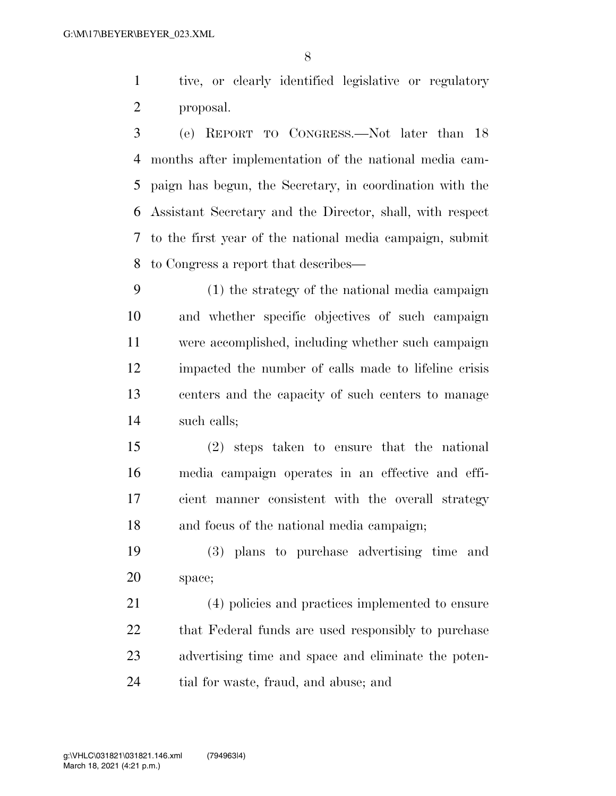tive, or clearly identified legislative or regulatory proposal.

 (e) REPORT TO CONGRESS.—Not later than 18 months after implementation of the national media cam- paign has begun, the Secretary, in coordination with the Assistant Secretary and the Director, shall, with respect to the first year of the national media campaign, submit to Congress a report that describes—

 (1) the strategy of the national media campaign and whether specific objectives of such campaign were accomplished, including whether such campaign impacted the number of calls made to lifeline crisis centers and the capacity of such centers to manage such calls;

 (2) steps taken to ensure that the national media campaign operates in an effective and effi- cient manner consistent with the overall strategy and focus of the national media campaign;

 (3) plans to purchase advertising time and space;

 (4) policies and practices implemented to ensure 22 that Federal funds are used responsibly to purchase advertising time and space and eliminate the poten-tial for waste, fraud, and abuse; and